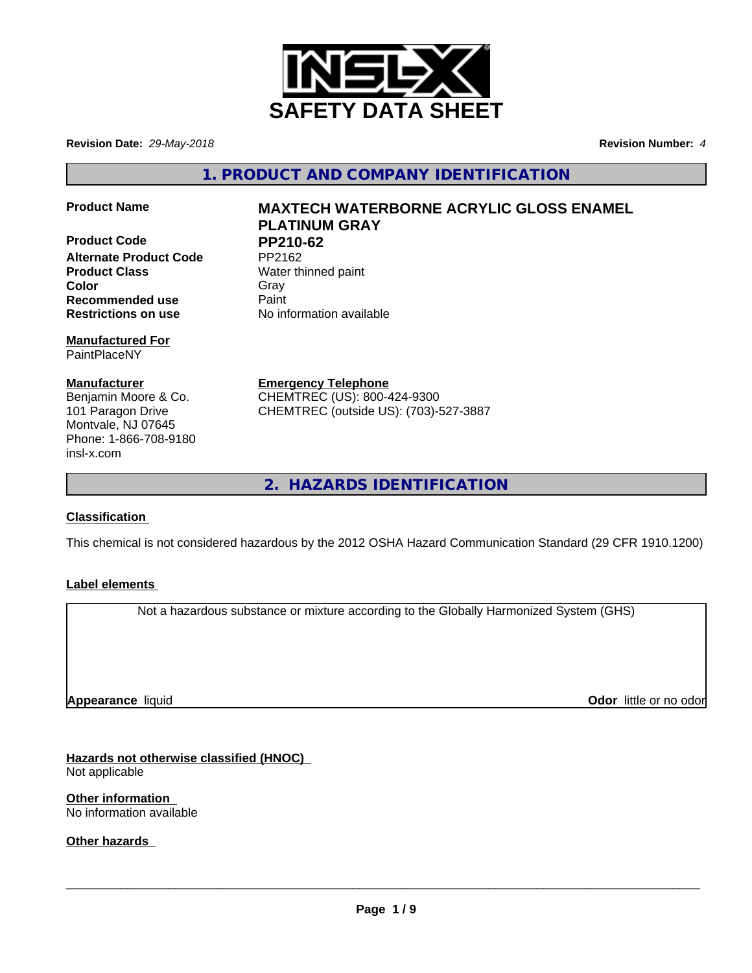

**Revision Date:** *29-May-2018* **Revision Number:** *4*

**1. PRODUCT AND COMPANY IDENTIFICATION**

**Product Code PP210-62 Alternate Product Code Product Class** Water thinned paint **Color** Gray Gray **Recommended use** Paint **Restrictions on use** No information available

**Manufactured For** PaintPlaceNY

**Manufacturer** Benjamin Moore & Co. 101 Paragon Drive Montvale, NJ 07645 Phone: 1-866-708-9180 insl-x.com

**Product Name MAXTECH WATERBORNE ACRYLIC GLOSS ENAMEL PLATINUM GRAY**

**Emergency Telephone** CHEMTREC (US): 800-424-9300 CHEMTREC (outside US): (703)-527-3887

**2. HAZARDS IDENTIFICATION**

## **Classification**

This chemical is not considered hazardous by the 2012 OSHA Hazard Communication Standard (29 CFR 1910.1200)

## **Label elements**

Not a hazardous substance or mixture according to the Globally Harmonized System (GHS)

**Appearance** liquid

**Odor** little or no odor

**Hazards not otherwise classified (HNOC)** Not applicable

**Other information** No information available

**Other hazards**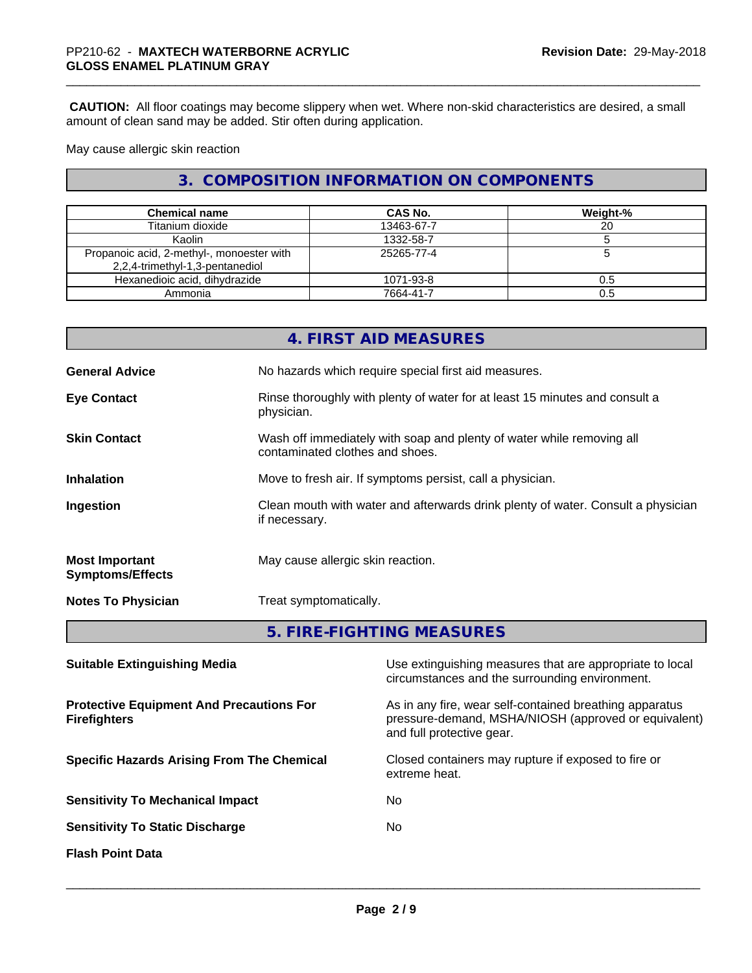**CAUTION:** All floor coatings may become slippery when wet. Where non-skid characteristics are desired, a small amount of clean sand may be added. Stir often during application.

May cause allergic skin reaction

# **3. COMPOSITION INFORMATION ON COMPONENTS**

| <b>Chemical name</b>                                                         | <b>CAS No.</b> | Weight-% |
|------------------------------------------------------------------------------|----------------|----------|
| Titanium dioxide                                                             | 13463-67-7     | 20       |
| Kaolin                                                                       | 1332-58-7      |          |
| Propanoic acid, 2-methyl-, monoester with<br>2,2,4-trimethyl-1,3-pentanediol | 25265-77-4     |          |
| Hexanedioic acid, dihydrazide                                                | 1071-93-8      | 0.5      |
| Ammonia                                                                      | 7664-41-7      | 0.5      |

|                                                  | 4. FIRST AID MEASURES                                                                                    |
|--------------------------------------------------|----------------------------------------------------------------------------------------------------------|
| <b>General Advice</b>                            | No hazards which require special first aid measures.                                                     |
| <b>Eye Contact</b>                               | Rinse thoroughly with plenty of water for at least 15 minutes and consult a<br>physician.                |
| <b>Skin Contact</b>                              | Wash off immediately with soap and plenty of water while removing all<br>contaminated clothes and shoes. |
| <b>Inhalation</b>                                | Move to fresh air. If symptoms persist, call a physician.                                                |
| Ingestion                                        | Clean mouth with water and afterwards drink plenty of water. Consult a physician<br>if necessary.        |
| <b>Most Important</b><br><b>Symptoms/Effects</b> | May cause allergic skin reaction.                                                                        |
| <b>Notes To Physician</b>                        | Treat symptomatically.                                                                                   |
|                                                  | 5. FIRE-FIGHTING MEASURES                                                                                |

| <b>Suitable Extinguishing Media</b>                                    | Use extinguishing measures that are appropriate to local<br>circumstances and the surrounding environment.                                   |
|------------------------------------------------------------------------|----------------------------------------------------------------------------------------------------------------------------------------------|
| <b>Protective Equipment And Precautions For</b><br><b>Firefighters</b> | As in any fire, wear self-contained breathing apparatus<br>pressure-demand, MSHA/NIOSH (approved or equivalent)<br>and full protective gear. |
| <b>Specific Hazards Arising From The Chemical</b>                      | Closed containers may rupture if exposed to fire or<br>extreme heat.                                                                         |
| <b>Sensitivity To Mechanical Impact</b>                                | No.                                                                                                                                          |
| <b>Sensitivity To Static Discharge</b>                                 | No.                                                                                                                                          |
| <b>Flash Point Data</b>                                                |                                                                                                                                              |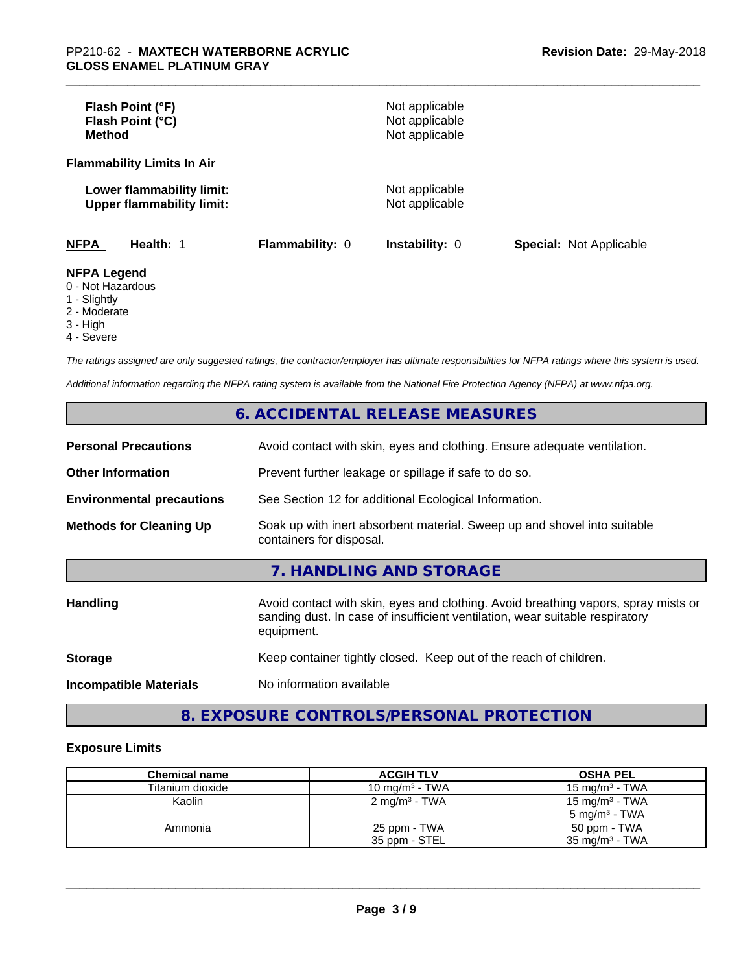| Flash Point (°F)<br>Flash Point (°C)<br><b>Method</b>                  |                        | Not applicable<br>Not applicable<br>Not applicable |                                |
|------------------------------------------------------------------------|------------------------|----------------------------------------------------|--------------------------------|
| <b>Flammability Limits In Air</b>                                      |                        |                                                    |                                |
| Lower flammability limit:<br><b>Upper flammability limit:</b>          |                        | Not applicable<br>Not applicable                   |                                |
| <b>NFPA</b><br>Health: 1                                               | <b>Flammability: 0</b> | Instability: 0                                     | <b>Special: Not Applicable</b> |
| <b>NFPA Legend</b><br>0 - Not Hazardous<br>$\overline{A}$ Clientals of |                        |                                                    |                                |

## 1 - Slightly

- 2 Moderate
- 3 High
- 

4 - Severe

*The ratings assigned are only suggested ratings, the contractor/employer has ultimate responsibilities for NFPA ratings where this system is used.*

*Additional information regarding the NFPA rating system is available from the National Fire Protection Agency (NFPA) at www.nfpa.org.*

# **6. ACCIDENTAL RELEASE MEASURES**

| <b>Personal Precautions</b>      | Avoid contact with skin, eyes and clothing. Ensure adequate ventilation.                                                                                                         |
|----------------------------------|----------------------------------------------------------------------------------------------------------------------------------------------------------------------------------|
| <b>Other Information</b>         | Prevent further leakage or spillage if safe to do so.                                                                                                                            |
| <b>Environmental precautions</b> | See Section 12 for additional Ecological Information.                                                                                                                            |
| <b>Methods for Cleaning Up</b>   | Soak up with inert absorbent material. Sweep up and shovel into suitable<br>containers for disposal.                                                                             |
|                                  | 7. HANDLING AND STORAGE                                                                                                                                                          |
| Handling                         | Avoid contact with skin, eyes and clothing. Avoid breathing vapors, spray mists or<br>sanding dust. In case of insufficient ventilation, wear suitable respiratory<br>equipment. |
| <b>Storage</b>                   | Keep container tightly closed. Keep out of the reach of children.                                                                                                                |
| <b>Incompatible Materials</b>    | No information available                                                                                                                                                         |

# **8. EXPOSURE CONTROLS/PERSONAL PROTECTION**

## **Exposure Limits**

| <b>Chemical name</b> | <b>ACGIH TLV</b>         | <b>OSHA PEL</b>           |
|----------------------|--------------------------|---------------------------|
| Titanium dioxide     | 10 mg/m $3$ - TWA        | 15 mg/m $3$ - TWA         |
| Kaolin               | $2 \text{ mg/m}^3$ - TWA | 15 mg/m $3$ - TWA         |
|                      |                          | $5 \text{ mg/m}^3$ - TWA  |
| Ammonia              | 25 ppm - TWA             | 50 ppm - TWA              |
|                      | 35 ppm - STEL            | $35 \text{ mg/m}^3$ - TWA |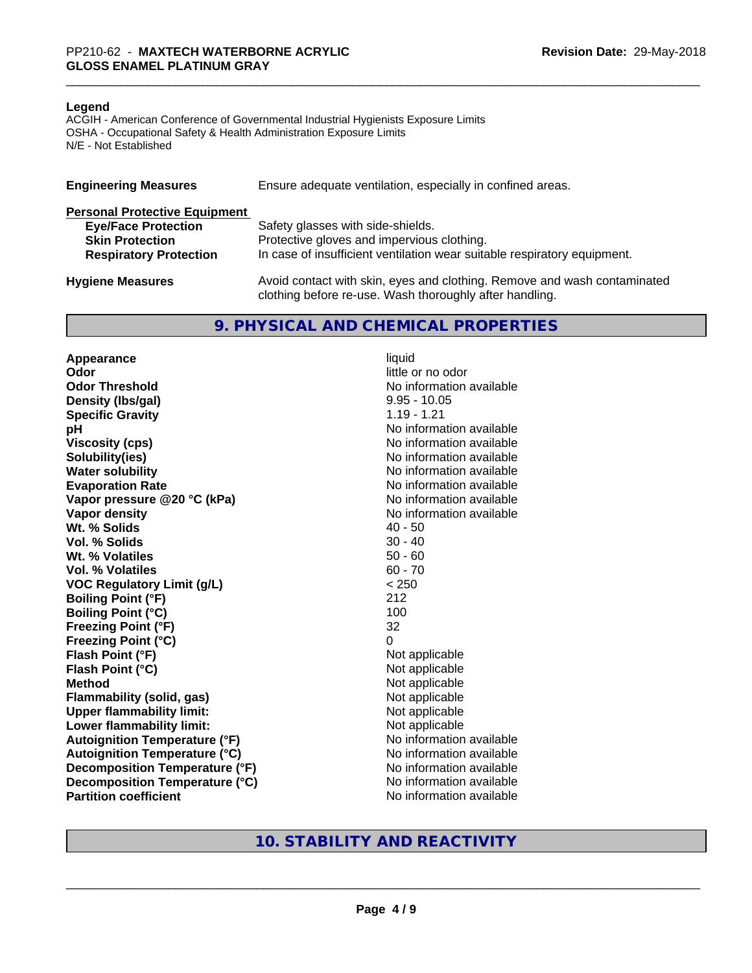#### **Legend**

ACGIH - American Conference of Governmental Industrial Hygienists Exposure Limits OSHA - Occupational Safety & Health Administration Exposure Limits N/E - Not Established

| <b>Engineering Measures</b>          | Ensure adequate ventilation, especially in confined areas.                                                                          |
|--------------------------------------|-------------------------------------------------------------------------------------------------------------------------------------|
| <b>Personal Protective Equipment</b> |                                                                                                                                     |
| <b>Eye/Face Protection</b>           | Safety glasses with side-shields.                                                                                                   |
| <b>Skin Protection</b>               | Protective gloves and impervious clothing.                                                                                          |
| <b>Respiratory Protection</b>        | In case of insufficient ventilation wear suitable respiratory equipment.                                                            |
| <b>Hygiene Measures</b>              | Avoid contact with skin, eyes and clothing. Remove and wash contaminated<br>clothing before re-use. Wash thoroughly after handling. |

### **9. PHYSICAL AND CHEMICAL PROPERTIES**

**Appearance** liquid **Odor** little or no odor **Odor Threshold No information available No information available Density (lbs/gal)** 9.95 - 10.05 **Specific Gravity** 1.19 - 1.21 **pH pH**  $\blacksquare$ **Viscosity (cps)** No information available **Solubility(ies)** No information available **Water solubility** No information available **Evaporation Rate No information available No information available Vapor pressure @20 °C (kPa)** No information available **Vapor density**<br> **We Solids**<br>
We Solid With the Solid Support of the Music Contract Addersition available<br>
Music Contract Addersition available<br>
Music Contract Addersition available Wt. % Solids **Vol. % Solids** 30 - 40 **Wt. % Volatiles** 50 - 60 **Vol. % Volatiles** 60 - 70 **VOC Regulatory Limit (g/L)** < 250 **Boiling Point (°F)** 212 **Boiling Point (°C)** 100 **Freezing Point (°F)** 32 **Freezing Point (°C)** 0 **Flash Point (°F)**<br> **Flash Point (°C)**<br> **Flash Point (°C)**<br> **Not** applicable<br>
Not applicable **Flash Point (°C) Method** Not applicable<br> **Flammability (solid, gas)** Not applicable Not applicable **Flammability (solid, gas)**<br> **Upper flammability limit:**<br>
Upper flammability limit: **Upper flammability limit:**<br> **Lower flammability limit:** Not applicable Not applicable **Lower flammability limit: Autoignition Temperature (°F)** No information available **Autoignition Temperature (°C)** No information available **Decomposition Temperature (°F)** No information available **Decomposition Temperature (°C)** No information available **Partition coefficient** No information available

## **10. STABILITY AND REACTIVITY**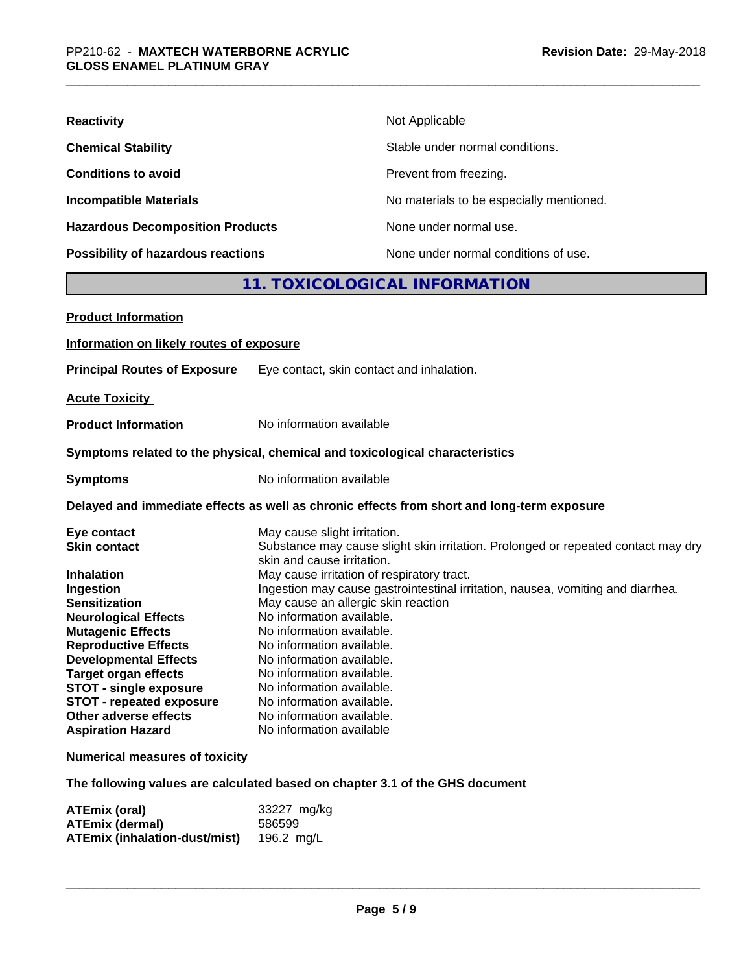| <b>Reactivity</b>                       | Not Applicable                           |
|-----------------------------------------|------------------------------------------|
| <b>Chemical Stability</b>               | Stable under normal conditions.          |
| <b>Conditions to avoid</b>              | Prevent from freezing.                   |
| <b>Incompatible Materials</b>           | No materials to be especially mentioned. |
| <b>Hazardous Decomposition Products</b> | None under normal use.                   |
| Possibility of hazardous reactions      | None under normal conditions of use.     |

# **11. TOXICOLOGICAL INFORMATION**

| <b>Product Information</b>                                                                                                             |
|----------------------------------------------------------------------------------------------------------------------------------------|
| Information on likely routes of exposure                                                                                               |
| <b>Principal Routes of Exposure</b><br>Eye contact, skin contact and inhalation.                                                       |
| <b>Acute Toxicity</b>                                                                                                                  |
| No information available<br><b>Product Information</b>                                                                                 |
| Symptoms related to the physical, chemical and toxicological characteristics                                                           |
| No information available<br><b>Symptoms</b>                                                                                            |
| Delayed and immediate effects as well as chronic effects from short and long-term exposure                                             |
| Eye contact<br>May cause slight irritation.                                                                                            |
| <b>Skin contact</b><br>Substance may cause slight skin irritation. Prolonged or repeated contact may dry<br>skin and cause irritation. |
| May cause irritation of respiratory tract.<br><b>Inhalation</b>                                                                        |
| Ingestion may cause gastrointestinal irritation, nausea, vomiting and diarrhea.<br>Ingestion                                           |
| May cause an allergic skin reaction<br><b>Sensitization</b>                                                                            |
| No information available.<br><b>Neurological Effects</b>                                                                               |
| <b>Mutagenic Effects</b><br>No information available.                                                                                  |
| <b>Reproductive Effects</b><br>No information available.                                                                               |
| <b>Developmental Effects</b><br>No information available.                                                                              |
| <b>Target organ effects</b><br>No information available.                                                                               |
| <b>STOT - single exposure</b><br>No information available.                                                                             |
| <b>STOT - repeated exposure</b><br>No information available.                                                                           |
| Other adverse effects<br>No information available.                                                                                     |
| No information available<br><b>Aspiration Hazard</b>                                                                                   |
| <b>Numerical measures of toxicity</b>                                                                                                  |

**The following values are calculated based on chapter 3.1 of the GHS document**

| ATEmix (oral)                        | 33227 mg/kg |
|--------------------------------------|-------------|
| <b>ATEmix (dermal)</b>               | 586599      |
| <b>ATEmix (inhalation-dust/mist)</b> | 196.2 mg/L  |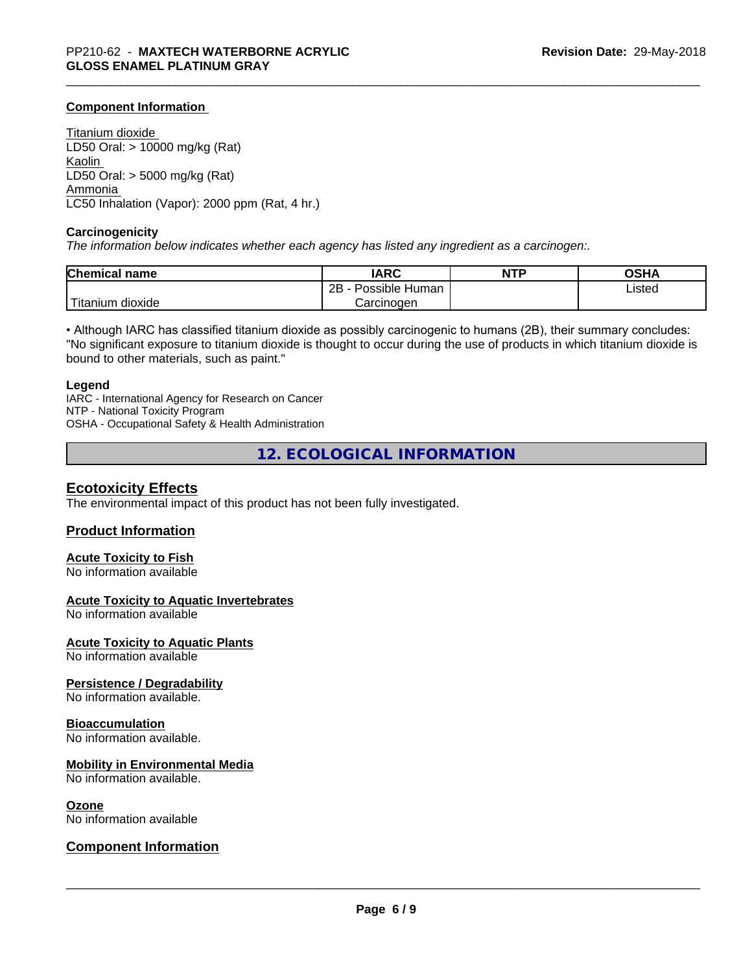### **Component Information**

Titanium dioxide LD50 Oral: > 10000 mg/kg (Rat) Kaolin LD50 Oral: > 5000 mg/kg (Rat) Ammonia LC50 Inhalation (Vapor): 2000 ppm (Rat, 4 hr.)

#### **Carcinogenicity**

*The information below indicateswhether each agency has listed any ingredient as a carcinogen:.*

| <b>Chemical name</b>   | <b>IARC</b>                    | <b>NTP</b> | <b>OCUA</b><br>ึงอ⊓⊬ |
|------------------------|--------------------------------|------------|----------------------|
|                        | . .<br>2B<br>Human<br>Possible |            | Listed               |
| n dioxide<br>l itanıum | Carcinoɑen                     |            |                      |

• Although IARC has classified titanium dioxide as possibly carcinogenic to humans (2B), their summary concludes: "No significant exposure to titanium dioxide is thought to occur during the use of products in which titanium dioxide is bound to other materials, such as paint."

#### **Legend**

IARC - International Agency for Research on Cancer NTP - National Toxicity Program OSHA - Occupational Safety & Health Administration

**12. ECOLOGICAL INFORMATION**

### **Ecotoxicity Effects**

The environmental impact of this product has not been fully investigated.

### **Product Information**

## **Acute Toxicity to Fish**

No information available

### **Acute Toxicity to Aquatic Invertebrates**

No information available

**Acute Toxicity to Aquatic Plants**

No information available

### **Persistence / Degradability**

No information available.

#### **Bioaccumulation**

No information available.

### **Mobility in Environmental Media**

No information available.

#### **Ozone**

No information available

## **Component Information**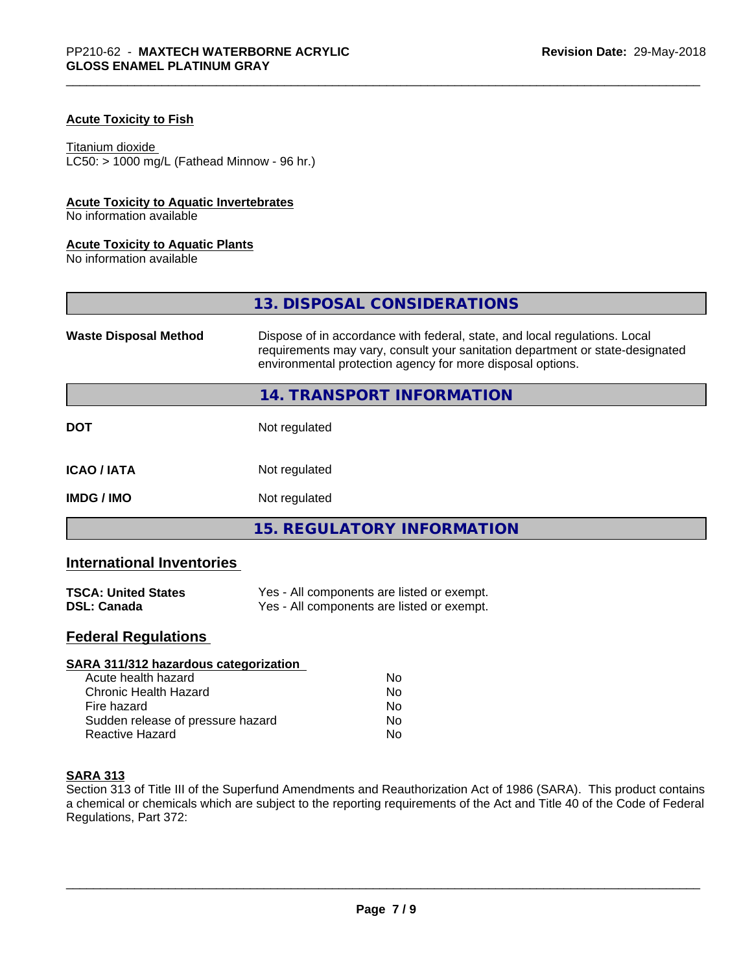## **Acute Toxicity to Fish**

#### Titanium dioxide

 $LC50:$  > 1000 mg/L (Fathead Minnow - 96 hr.)

## **Acute Toxicity to Aquatic Invertebrates**

No information available

### **Acute Toxicity to Aquatic Plants**

No information available

|                              | 13. DISPOSAL CONSIDERATIONS                                                                                                                                                                                               |
|------------------------------|---------------------------------------------------------------------------------------------------------------------------------------------------------------------------------------------------------------------------|
| <b>Waste Disposal Method</b> | Dispose of in accordance with federal, state, and local regulations. Local<br>requirements may vary, consult your sanitation department or state-designated<br>environmental protection agency for more disposal options. |
|                              | 14. TRANSPORT INFORMATION                                                                                                                                                                                                 |
| <b>DOT</b>                   | Not regulated                                                                                                                                                                                                             |
| <b>ICAO/IATA</b>             | Not regulated                                                                                                                                                                                                             |
| <b>IMDG / IMO</b>            | Not regulated                                                                                                                                                                                                             |
|                              | <b>15. REGULATORY INFORMATION</b>                                                                                                                                                                                         |

# **International Inventories**

| <b>TSCA: United States</b> | Yes - All components are listed or exempt. |
|----------------------------|--------------------------------------------|
| <b>DSL: Canada</b>         | Yes - All components are listed or exempt. |

# **Federal Regulations**

| SARA 311/312 hazardous categorization |    |  |
|---------------------------------------|----|--|
| Acute health hazard                   | Nο |  |
| Chronic Health Hazard                 | No |  |
| Fire hazard                           | Nο |  |
| Sudden release of pressure hazard     | No |  |
| Reactive Hazard                       | No |  |

### **SARA 313**

Section 313 of Title III of the Superfund Amendments and Reauthorization Act of 1986 (SARA). This product contains a chemical or chemicals which are subject to the reporting requirements of the Act and Title 40 of the Code of Federal Regulations, Part 372: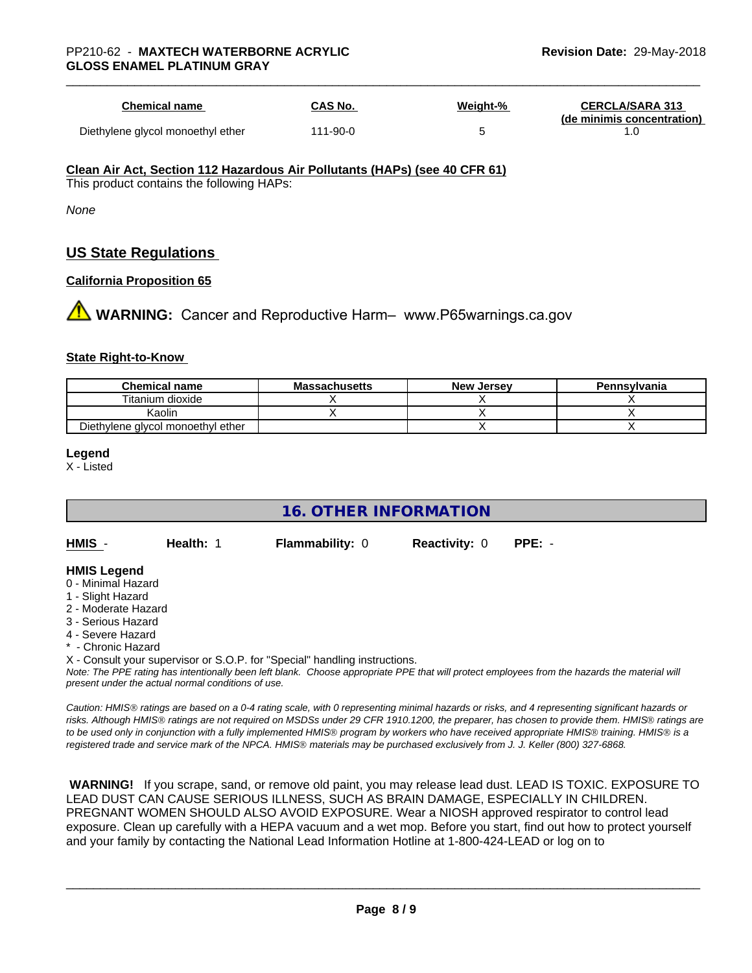| <b>Chemical name</b>              | <b>CAS No.</b> | Weight-% | <b>CERCLA/SARA 313</b><br>(de minimis concentration) |
|-----------------------------------|----------------|----------|------------------------------------------------------|
| Diethylene glycol monoethyl ether | 111-90-0       |          |                                                      |

#### **Clean Air Act,Section 112 Hazardous Air Pollutants (HAPs) (see 40 CFR 61)**

This product contains the following HAPs:

*None*

# **US State Regulations**

### **California Proposition 65**

**1 WARNING:** Cancer and Reproductive Harm– www.P65warnings.ca.gov

### **State Right-to-Know**

| <b>Chemical name</b>              | <b>Massachusetts</b> | <b>New Jersey</b> | Pennsylvania |
|-----------------------------------|----------------------|-------------------|--------------|
| Titanium dioxide                  |                      |                   |              |
| Kaolin                            |                      |                   |              |
| Diethylene glycol monoethyl ether |                      |                   |              |

#### **Legend**

X - Listed

# **16. OTHER INFORMATION**

**HMIS** - **Health:** 1 **Flammability:** 0 **Reactivity:** 0 **PPE:** -

### **HMIS Legend**

- 0 Minimal Hazard
- 1 Slight Hazard
- 2 Moderate Hazard
- 3 Serious Hazard
- 4 Severe Hazard
- **Chronic Hazard**
- X Consult your supervisor or S.O.P. for "Special" handling instructions.

*Note: The PPE rating has intentionally been left blank. Choose appropriate PPE that will protect employees from the hazards the material will present under the actual normal conditions of use.*

*Caution: HMISÒ ratings are based on a 0-4 rating scale, with 0 representing minimal hazards or risks, and 4 representing significant hazards or risks. Although HMISÒ ratings are not required on MSDSs under 29 CFR 1910.1200, the preparer, has chosen to provide them. HMISÒ ratings are to be used only in conjunction with a fully implemented HMISÒ program by workers who have received appropriate HMISÒ training. HMISÒ is a registered trade and service mark of the NPCA. HMISÒ materials may be purchased exclusively from J. J. Keller (800) 327-6868.*

 **WARNING!** If you scrape, sand, or remove old paint, you may release lead dust. LEAD IS TOXIC. EXPOSURE TO LEAD DUST CAN CAUSE SERIOUS ILLNESS, SUCH AS BRAIN DAMAGE, ESPECIALLY IN CHILDREN. PREGNANT WOMEN SHOULD ALSO AVOID EXPOSURE.Wear a NIOSH approved respirator to control lead exposure. Clean up carefully with a HEPA vacuum and a wet mop. Before you start, find out how to protect yourself and your family by contacting the National Lead Information Hotline at 1-800-424-LEAD or log on to